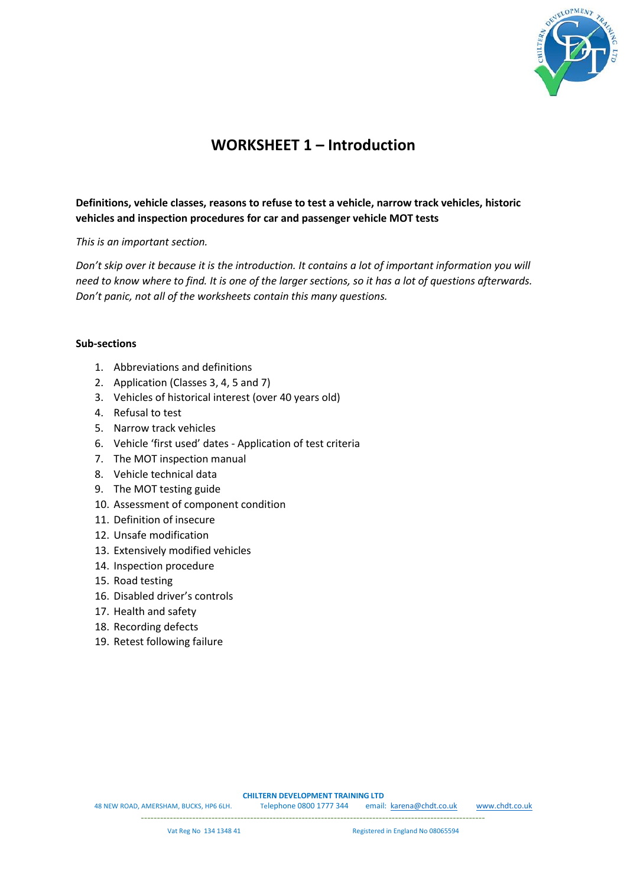

## **WORKSHEET 1 – Introduction**

## **Definitions, vehicle classes, reasons to refuse to test a vehicle, narrow track vehicles, historic vehicles and inspection procedures for car and passenger vehicle MOT tests**

*This is an important section.* 

*Don't skip over it because it is the introduction. It contains a lot of important information you will need to know where to find. It is one of the larger sections, so it has a lot of questions afterwards. Don't panic, not all of the worksheets contain this many questions.* 

## **Sub-sections**

- 1. Abbreviations and definitions
- 2. Application (Classes 3, 4, 5 and 7)
- 3. Vehicles of historical interest (over 40 years old)
- 4. Refusal to test
- 5. Narrow track vehicles
- 6. Vehicle 'first used' dates Application of test criteria
- 7. The MOT inspection manual
- 8. Vehicle technical data
- 9. The MOT testing guide
- 10. Assessment of component condition
- 11. Definition of insecure
- 12. Unsafe modification
- 13. Extensively modified vehicles
- 14. Inspection procedure
- 15. Road testing
- 16. Disabled driver's controls
- 17. Health and safety
- 18. Recording defects
- 19. Retest following failure

**CHILTERN DEVELOPMENT TRAINING LTD**

48 NEW ROAD, AMERSHAM, BUCKS, HP6 6LH. Telephone 0800 1777 344 email: [karena@chdt.co.uk](mailto:karena@chdt.co.uk) [www.chdt.co.uk](http://www.chdt.co.uk/)